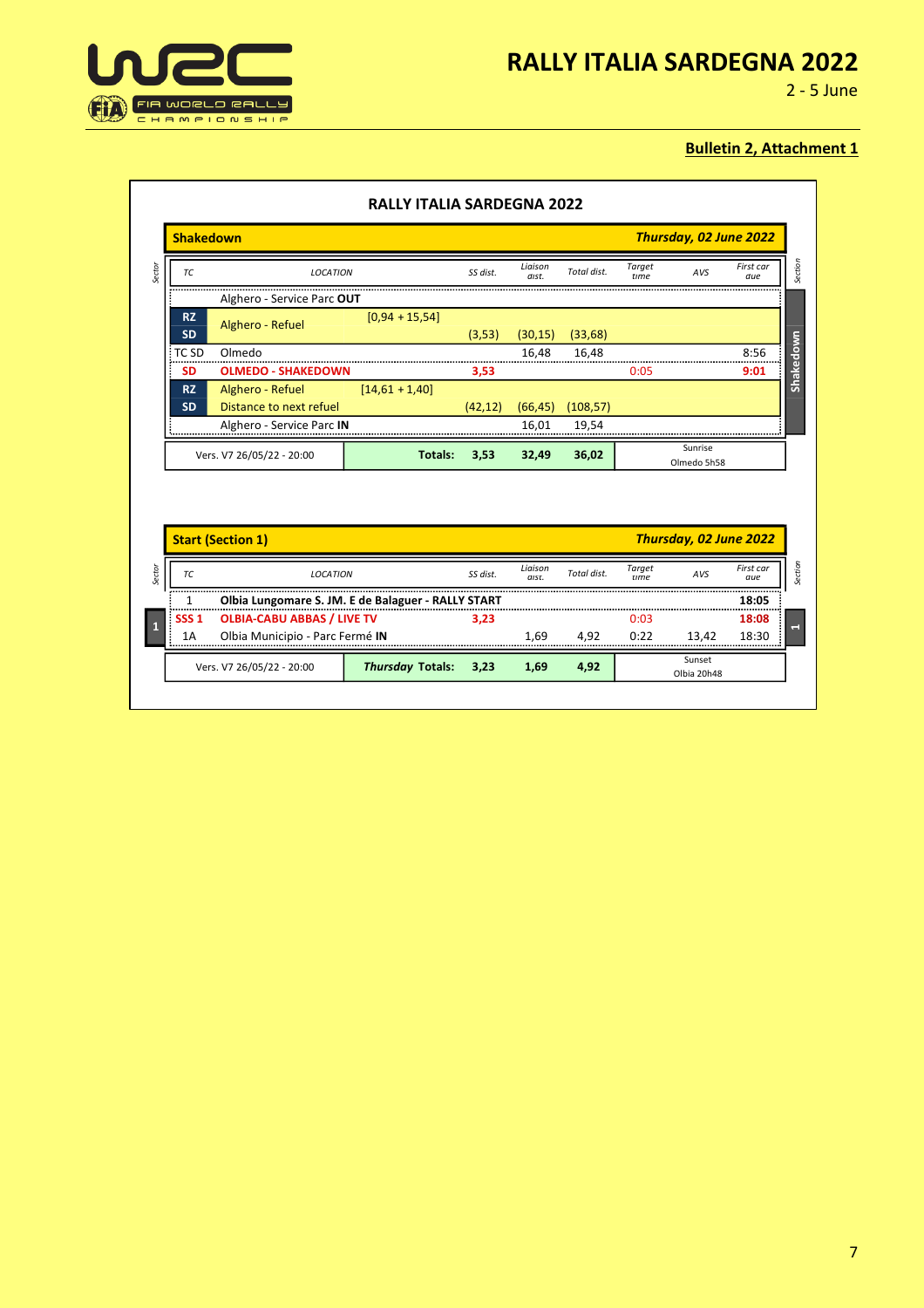



2 - 5 June

|                        | <b>Shakedown</b>                                   |                  |          |                  |             |                       | Thursday, 02 June 2022 |                  |
|------------------------|----------------------------------------------------|------------------|----------|------------------|-------------|-----------------------|------------------------|------------------|
| ТC                     | <b>LOCATION</b>                                    |                  | SS dist. | Liaison<br>dist. | Total dist. | Target<br>time        | AVS                    | First car<br>due |
|                        | Alghero - Service Parc OUT                         |                  |          |                  |             |                       |                        |                  |
| <b>RZ</b><br><b>SD</b> | Alghero - Refuel                                   | $[0,94 + 15,54]$ | (3,53)   | (30, 15)         | (33, 68)    |                       |                        |                  |
| TC <sub>SD</sub>       | Olmedo                                             |                  |          | 16,48            | 16,48       |                       |                        | 8:56             |
| <b>SD</b>              | <b>OLMEDO - SHAKEDOWN</b>                          |                  | 3,53     |                  |             | 0:05                  |                        | 9:01             |
| <b>RZ</b><br><b>SD</b> | Alghero - Refuel<br>Distance to next refuel        | $[14,61 + 1,40]$ | (42, 12) | (66, 45)         | (108, 57)   |                       |                        |                  |
|                        | Alghero - Service Parc IN                          |                  |          | 16,01            | 19,54       | --------------        |                        |                  |
|                        |                                                    |                  |          |                  |             |                       |                        |                  |
|                        | Vers. V7 26/05/22 - 20:00                          | <b>Totals:</b>   | 3,53     | 32,49            | 36,02       |                       | Sunrise<br>Olmedo 5h58 |                  |
|                        | <b>Start (Section 1)</b>                           |                  |          |                  |             |                       | Thursday, 02 June 2022 |                  |
| TC                     | <b>LOCATION</b>                                    |                  | SS dist. | Liaison<br>dist. | Total dist. | <b>Target</b><br>time | AVS                    | First car<br>due |
| 1                      | Olbia Lungomare S. JM. E de Balaguer - RALLY START |                  |          |                  |             |                       |                        | 18:05            |
| SSS <sub>1</sub>       | <b>OLBIA-CABU ABBAS / LIVE TV</b>                  |                  | 3,23     |                  |             | 0:03                  |                        | 18:08            |
| 1A                     | Olbia Municipio - Parc Fermé IN                    |                  |          | 1.69             | 4,92        | 0:22                  | 13.42                  | 18:30            |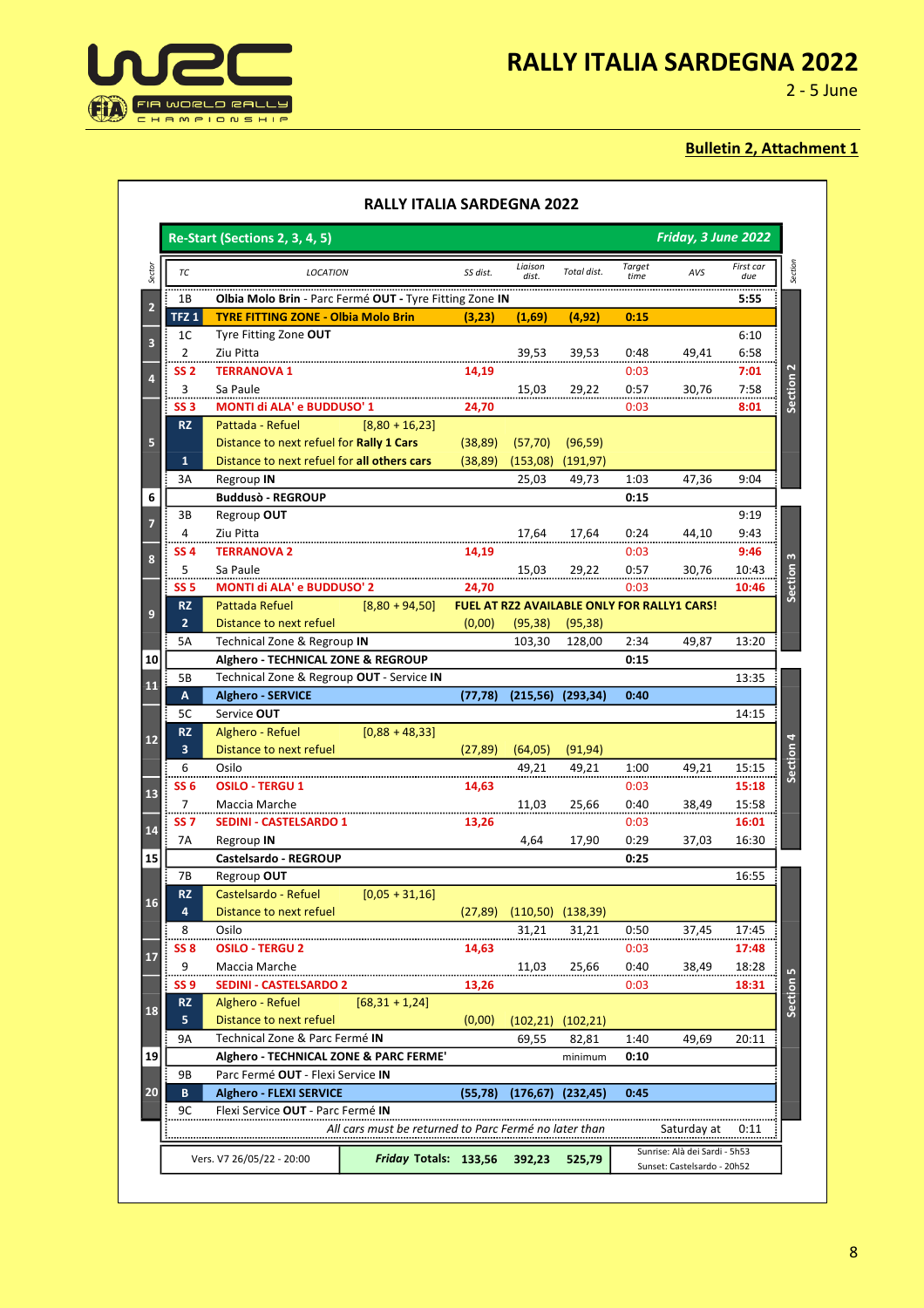

2 - 5 June

| Friday, 3 June 2022<br>Re-Start (Sections 2, 3, 4, 5)              |                                                                     |          |                  |             |                       |                                             |                  |
|--------------------------------------------------------------------|---------------------------------------------------------------------|----------|------------------|-------------|-----------------------|---------------------------------------------|------------------|
| ТC                                                                 | <b>LOCATION</b>                                                     | SS dist. | Liaison<br>dist. | Total dist. | <b>Target</b><br>time | AVS                                         | First car<br>due |
| 1В                                                                 | Olbia Molo Brin - Parc Fermé OUT - Tyre Fitting Zone IN             |          |                  |             |                       |                                             | 5:55             |
| TFZ <sub>1</sub>                                                   | <b>TYRE FITTING ZONE - Olbia Molo Brin</b>                          | (3,23)   | (1,69)           | (4,92)      | 0:15                  |                                             |                  |
| 1 <sup>C</sup>                                                     | Tyre Fitting Zone OUT                                               |          |                  |             |                       |                                             | 6:10             |
| $\overline{2}$                                                     | Ziu Pitta                                                           |          | 39,53            | 39,53       | 0:48                  | 49,41                                       | 6:58             |
| SS <sub>2</sub>                                                    | <b>TERRANOVA 1</b>                                                  | 14,19    |                  |             | 0:03                  |                                             | 7:01             |
| 3                                                                  | Sa Paule<br>                                                        |          | 15,03            | 29,22       | 0:57                  | 30,76                                       | 7:58             |
| SS <sub>3</sub>                                                    | <b>MONTI di ALA' e BUDDUSO' 1</b>                                   | 24,70    |                  |             | 0:03                  |                                             | 8:01             |
| <b>RZ</b>                                                          | $[8,80 + 16,23]$<br>Pattada - Refuel                                |          |                  |             |                       |                                             |                  |
|                                                                    | Distance to next refuel for Rally 1 Cars                            | (38, 89) | (57, 70)         | (96, 59)    |                       |                                             |                  |
| 1                                                                  | Distance to next refuel for all others cars                         | (38, 89) | (153,08)         | (191, 97)   |                       |                                             |                  |
| 3A                                                                 | Regroup IN                                                          |          | 25,03            | 49,73       | 1:03                  | 47,36                                       | 9:04             |
|                                                                    | <b>Buddusò - REGROUP</b>                                            |          |                  |             | 0:15                  |                                             |                  |
| 3B                                                                 | Regroup OUT                                                         |          |                  |             |                       |                                             | 9:19             |
| 4                                                                  | Ziu Pitta                                                           |          | 17,64            | 17,64       | 0:24                  | 44,10                                       | 9:43             |
| SS <sub>4</sub>                                                    | <b>TERRANOVA 2</b>                                                  | 14,19    |                  |             | 0:03                  |                                             | 9:46             |
| 5                                                                  | Sa Paule                                                            |          | 15,03            | 29,22       | 0:57                  | 30,76                                       | 10:43            |
| SS <sub>5</sub>                                                    | <b>MONTI di ALA' e BUDDUSO' 2</b>                                   | 24,70    |                  |             | 0:03                  |                                             | 10:46            |
| <b>RZ</b>                                                          | Pattada Refuel<br>$[8,80 + 94,50]$                                  |          |                  |             |                       | FUEL AT RZ2 AVAILABLE ONLY FOR RALLY1 CARS! |                  |
| $\overline{2}$                                                     | Distance to next refuel                                             | (0,00)   | (95, 38)         | (95, 38)    |                       |                                             |                  |
| 5A                                                                 | Technical Zone & Regroup IN                                         |          | 103,30           | 128,00      | 2:34                  | 49,87                                       | 13:20            |
|                                                                    | Alghero - TECHNICAL ZONE & REGROUP                                  |          |                  |             | 0:15                  |                                             |                  |
| 5B                                                                 | Technical Zone & Regroup OUT - Service IN                           |          |                  |             |                       |                                             | 13:35            |
| A                                                                  | <b>Alghero - SERVICE</b>                                            | (77, 78) | (215, 56)        | (293, 34)   | 0:40                  |                                             |                  |
| 5C                                                                 | Service OUT                                                         |          |                  |             |                       |                                             | 14:15            |
| <b>RZ</b><br>3                                                     | Alghero - Refuel<br>$[0,88 + 48,33]$                                |          |                  |             |                       |                                             |                  |
| 6                                                                  | Distance to next refuel<br>Osilo                                    | (27, 89) | (64, 05)         | (91, 94)    |                       |                                             |                  |
| SS <sub>6</sub>                                                    | <b>OSILO - TERGU 1</b>                                              |          | 49,21            | 49,21       | 1:00<br>0:03          | 49,21                                       | 15:15<br>15:18   |
| 7                                                                  | Maccia Marche                                                       | 14,63    | 11,03            |             | 0:40                  | 38,49                                       |                  |
| SS <sub>7</sub>                                                    | <b>SEDINI - CASTELSARDO 1</b>                                       | 13,26    |                  | 25,66       | 0:03                  |                                             | 15:58<br>16:01   |
| 7A                                                                 | Regroup IN                                                          |          | 4,64             | 17,90       | 0:29                  | 37,03                                       | 16:30            |
|                                                                    | Castelsardo - REGROUP                                               |          |                  |             | 0:25                  |                                             |                  |
|                                                                    |                                                                     |          |                  |             |                       |                                             | 16:55            |
|                                                                    |                                                                     |          |                  |             |                       |                                             |                  |
|                                                                    | Regroup OUT                                                         |          |                  |             |                       |                                             |                  |
| 4                                                                  | Castelsardo - Refuel<br>$[0,05 + 31,16]$<br>Distance to next refuel | (27, 89) |                  |             |                       |                                             |                  |
|                                                                    | Osilo                                                               |          | (110, 50)        | (138, 39)   |                       |                                             |                  |
| 8                                                                  |                                                                     |          | 31,21            | 31,21       | 0:50                  | 37,45                                       | 17:45            |
| 9                                                                  | <b>OSILO - TERGU 2</b><br>Maccia Marche                             | 14,63    | 11,03            | 25,66       | 0:03<br>0:40          | 38,49                                       | 17:48<br>18:28   |
|                                                                    | <b>SEDINI - CASTELSARDO 2</b>                                       | 13,26    |                  |             | 0:03                  |                                             | 18:31            |
|                                                                    | Alghero - Refuel                                                    |          |                  |             |                       |                                             |                  |
| 5                                                                  | $[68, 31 + 1, 24]$<br>Distance to next refuel                       | (0,00)   | (102, 21)        | (102, 21)   |                       |                                             |                  |
| 7B<br><b>RZ</b><br>SS <sub>8</sub><br>SS <sub>9</sub><br>RZ.<br>9А | Technical Zone & Parc Fermé IN                                      |          | 69,55            | 82,81       | 1:40                  | 49,69                                       | 20:11            |
|                                                                    | Alghero - TECHNICAL ZONE & PARC FERME'                              |          |                  | minimum     | 0:10                  |                                             |                  |
| 9В                                                                 | Parc Fermé OUT - Flexi Service IN                                   |          |                  |             |                       |                                             |                  |
| В                                                                  | <b>Alghero - FLEXI SERVICE</b>                                      | (55,78)  | (176, 67)        | (232, 45)   | 0:45                  |                                             |                  |
| 9C                                                                 | Flexi Service OUT - Parc Fermé IN                                   |          |                  |             |                       |                                             |                  |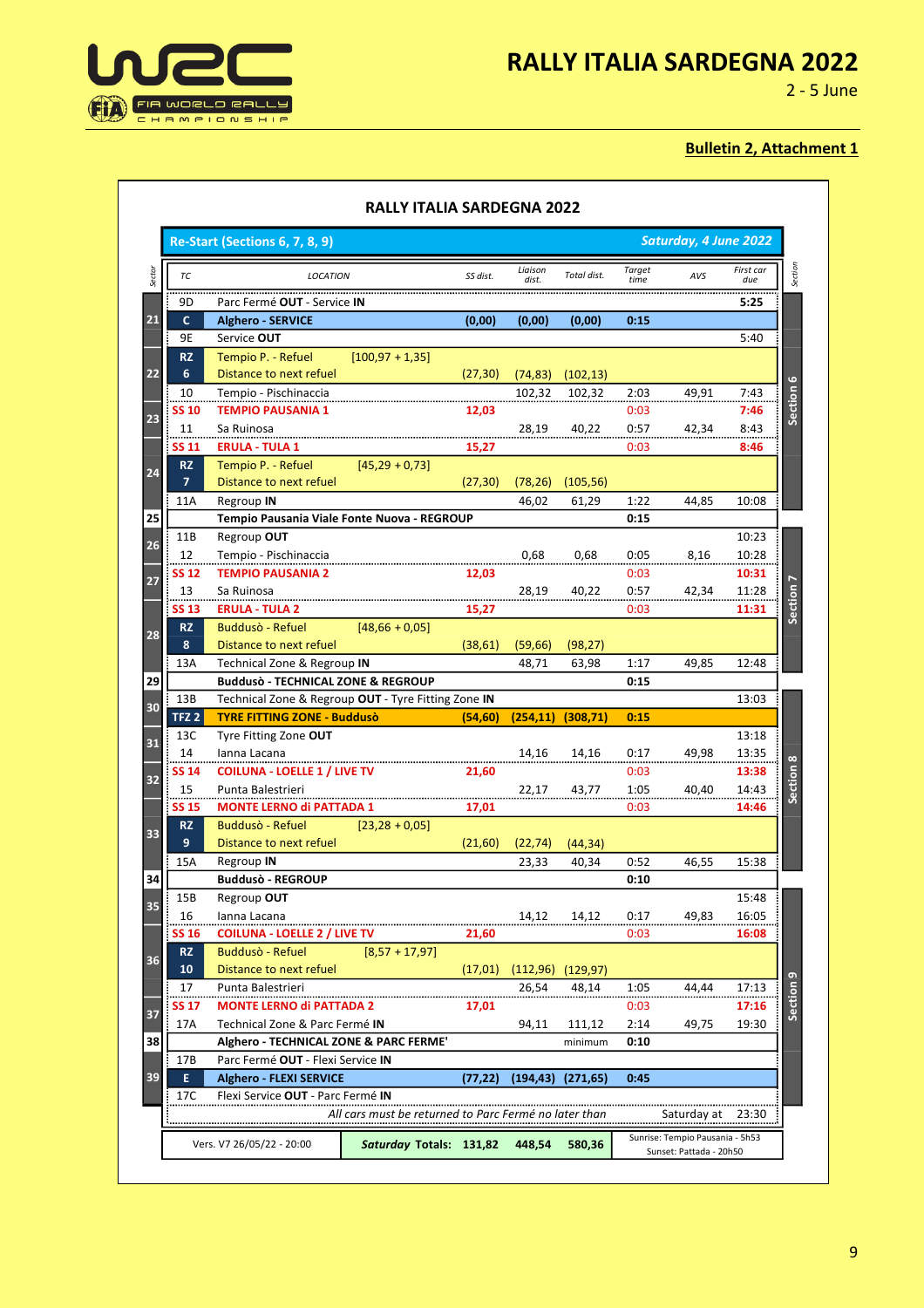



2 - 5 June

|                  | <b>Re-Start (Sections 6, 7, 8, 9)</b>                                                                |                     |                  |             |                       | Saturday, 4 June 2022 |                  |         |
|------------------|------------------------------------------------------------------------------------------------------|---------------------|------------------|-------------|-----------------------|-----------------------|------------------|---------|
| ТC               | <b>LOCATION</b>                                                                                      | SS dist.            | Liaison<br>dist. | Total dist. | <b>Target</b><br>time | AVS                   | First car<br>due |         |
| 9D               | Parc Fermé OUT - Service IN                                                                          |                     |                  |             |                       |                       | 5:25             |         |
| C                | <b>Alghero - SERVICE</b>                                                                             | (0,00)              | (0,00)           | (0,00)      | 0:15                  |                       |                  |         |
| 9E               | Service OUT                                                                                          |                     |                  |             |                       |                       | 5:40             |         |
| <b>RZ</b>        | Tempio P. - Refuel                                                                                   | $[100, 97 + 1, 35]$ |                  |             |                       |                       |                  |         |
| 6                | Distance to next refuel                                                                              | (27, 30)            | (74, 83)         | (102, 13)   |                       |                       |                  |         |
| 10               | Tempio - Pischinaccia                                                                                |                     | 102,32           | 102,32      | 2:03                  | 49,91                 | 7:43             |         |
| SS 10            | <b>TEMPIO PAUSANIA 1</b>                                                                             | 12,03               |                  |             | 0:03                  |                       | 7:46             | Section |
| 11               | Sa Ruinosa                                                                                           |                     | 28,19            | 40,22       | 0:57                  | 42,34                 | 8:43             |         |
| <b>SS 11</b>     | <b>ERULA - TULA 1</b>                                                                                | 15,27               |                  |             | 0:03                  |                       | 8:46             |         |
| <b>RZ</b>        | Tempio P. - Refuel                                                                                   | $[45,29+0,73]$      |                  |             |                       |                       |                  |         |
| $\overline{7}$   | Distance to next refuel                                                                              | (27, 30)            | (78, 26)         | (105, 56)   |                       |                       |                  |         |
| 11A              | Regroup IN                                                                                           |                     | 46,02            | 61,29       | 1:22                  | 44,85                 | 10:08            |         |
|                  | Tempio Pausania Viale Fonte Nuova - REGROUP                                                          |                     |                  |             | 0:15                  |                       |                  |         |
| 11B              | Regroup OUT                                                                                          |                     |                  |             |                       |                       | 10:23            |         |
| 12               | Tempio - Pischinaccia                                                                                |                     | 0,68             | 0,68        | 0:05                  | 8,16                  | 10:28            |         |
| <b>SS 12</b>     | <b>TEMPIO PAUSANIA 2</b>                                                                             | 12,03               |                  |             | 0:03                  |                       | 10:31            |         |
| 13               | Sa Ruinosa                                                                                           |                     | 28,19            | 40,22       | 0:57                  | 42,34                 | 11:28            |         |
| <b>SS 13</b>     | <b>ERULA - TULA 2</b>                                                                                | 15,27               |                  |             | 0:03                  |                       | 11:31            |         |
| <b>RZ</b>        | <b>Buddusò - Refuel</b>                                                                              | $[48,66 + 0,05]$    |                  |             |                       |                       |                  |         |
| 8                | Distance to next refuel                                                                              | (38, 61)            | (59, 66)         | (98,27)     |                       |                       |                  |         |
| 13A              | Technical Zone & Regroup IN                                                                          |                     | 48,71            | 63,98       | 1:17                  | 49,85                 | 12:48            |         |
| 13B              | <b>Buddusò - TECHNICAL ZONE &amp; REGROUP</b><br>Technical Zone & Regroup OUT - Tyre Fitting Zone IN |                     |                  |             | 0:15                  |                       | 13:03            |         |
| TFZ <sub>2</sub> | <b>TYRE FITTING ZONE - Buddusò</b>                                                                   | (54, 60)            | (254, 11)        | (308, 71)   | 0:15                  |                       |                  |         |
| 13C              | Tyre Fitting Zone OUT                                                                                |                     |                  |             |                       |                       | 13:18            |         |
| 14               | lanna Lacana                                                                                         |                     | 14,16            | 14,16       | 0:17                  | 49,98                 | 13:35            |         |
| SS 14            | <b>COILUNA - LOELLE 1 / LIVE TV</b>                                                                  | 21,60               |                  |             | 0:03                  |                       | 13:38            |         |
| 15               | Punta Balestrieri                                                                                    |                     | 22,17            | 43,77       | 1:05                  | 40,40                 | 14:43            |         |
| <b>SS 15</b>     | <b>MONTE LERNO di PATTADA 1</b>                                                                      | 17,01               |                  |             | 0:03                  |                       | 14:46            | قى      |
| <b>RZ</b>        | <b>Buddusò - Refuel</b>                                                                              | $[23, 28 + 0, 05]$  |                  |             |                       |                       |                  |         |
| 9                | Distance to next refuel                                                                              | (21,60)             | (22, 74)         | (44, 34)    |                       |                       |                  |         |
| 15A              | Regroup IN                                                                                           |                     | 23,33            | 40,34       | 0:52                  | 46,55                 | 15:38            |         |
|                  | <b>Buddusò - REGROUP</b>                                                                             |                     |                  |             | 0:10                  |                       |                  |         |
| 15B              | Regroup OUT                                                                                          |                     |                  |             |                       |                       | 15:48            |         |
| 16               | Ianna Lacana                                                                                         |                     | 14,12            | 14,12       | 0:17                  | 49,83                 | 16:05            |         |
| <b>SS 16</b>     | <b>COILUNA - LOELLE 2 / LIVE TV</b>                                                                  | 21,60               |                  |             | 0:03                  |                       | 16:08            |         |
| <b>RZ</b>        | Buddusò - Refuel                                                                                     | $[8,57 + 17,97]$    |                  |             |                       |                       |                  |         |
| 10               | Distance to next refuel                                                                              | (17,01)             | (112,96)         | (129, 97)   |                       |                       |                  |         |
| 17               | Punta Balestrieri                                                                                    |                     | 26,54            | 48,14       | 1:05                  | 44,44                 | 17:13            |         |
| SS 17            | <b>MONTE LERNO di PATTADA 2</b>                                                                      | 17,01               |                  |             | 0:03                  |                       | 17:16            |         |
| 17A              | Technical Zone & Parc Fermé IN                                                                       |                     | 94,11            | 111,12      | 2:14                  | 49,75                 | 19:30            |         |
|                  | Alghero - TECHNICAL ZONE & PARC FERME'                                                               |                     |                  | minimum     | 0:10                  |                       |                  |         |
|                  | Parc Fermé OUT - Flexi Service IN                                                                    |                     |                  |             |                       |                       |                  |         |
| 17B              |                                                                                                      | (77, 22)            | (194, 43)        | (271, 65)   | 0:45                  |                       |                  |         |
| E                | <b>Alghero - FLEXI SERVICE</b>                                                                       |                     |                  |             |                       |                       |                  |         |
| 17C              | Flexi Service OUT - Parc Fermé IN                                                                    |                     |                  |             |                       |                       |                  |         |